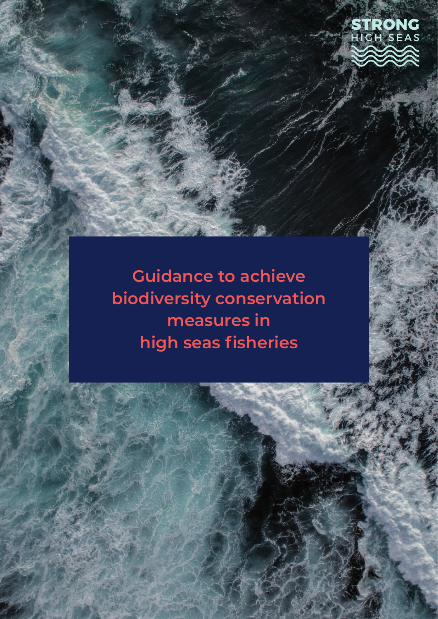

**Guidance to achieve biodiversity conservation measures in high seas fisheries**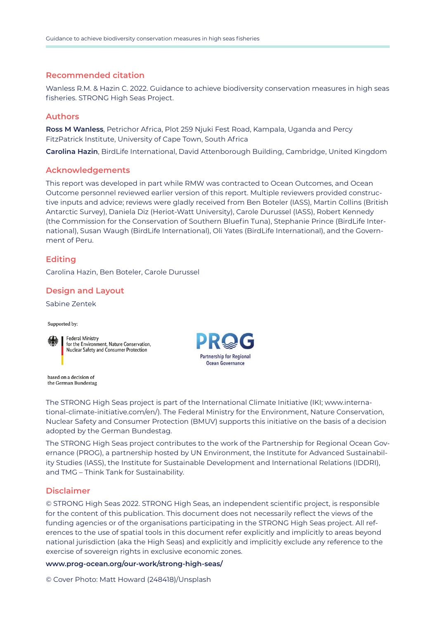### **Recommended citation**

Wanless R.M. & Hazin C. 2022. Guidance to achieve biodiversity conservation measures in high seas fisheries. STRONG High Seas Project.

### **Authors**

**Ross M Wanless**, Petrichor Africa, Plot 259 Njuki Fest Road, Kampala, Uganda and Percy FitzPatrick Institute, University of Cape Town, South Africa

**Carolina Hazin**, BirdLife International, David Attenborough Building, Cambridge, United Kingdom

#### **Acknowledgements**

This report was developed in part while RMW was contracted to Ocean Outcomes, and Ocean Outcome personnel reviewed earlier version of this report. Multiple reviewers provided constructive inputs and advice; reviews were gladly received from Ben Boteler (IASS), Martin Collins (British Antarctic Survey), Daniela Diz (Heriot-Watt University), Carole Durussel (IASS), Robert Kennedy (the Commission for the Conservation of Southern Bluefin Tuna), Stephanie Prince (BirdLife International), Susan Waugh (BirdLife International), Oli Yates (BirdLife International), and the Government of Peru.

## **Editing**

Carolina Hazin, Ben Boteler, Carole Durussel

## **Design and Layout**

Sabine Zentek

Supported by:



**Federal Ministry** for the Environment, Nature Conservation, Nuclear Safety and Consumer Protection



based on a decision of the German Bundestag

The STRONG High Seas project is part of the International Climate Initiative (IKI; www.international-climate-initiative.com/en/). The Federal Ministry for the Environment, Nature Conservation, Nuclear Safety and Consumer Protection (BMUV) supports this initiative on the basis of a decision adopted by the German Bundestag.

The STRONG High Seas project contributes to the work of the Partnership for Regional Ocean Governance (PROG), a partnership hosted by UN Environment, the Institute for Advanced Sustainability Studies (IASS), the Institute for Sustainable Development and International Relations (IDDRI), and TMG – Think Tank for Sustainability.

## **Disclaimer**

© STRONG High Seas 2022. STRONG High Seas, an independent scientific project, is responsible for the content of this publication. This document does not necessarily reflect the views of the funding agencies or of the organisations participating in the STRONG High Seas project. All references to the use of spatial tools in this document refer explicitly and implicitly to areas beyond national jurisdiction (aka the High Seas) and explicitly and implicitly exclude any reference to the exercise of sovereign rights in exclusive economic zones.

**www.prog-ocean.org/our-work/strong-high-seas/**

© Cover Photo: Matt Howard (248418)/Unsplash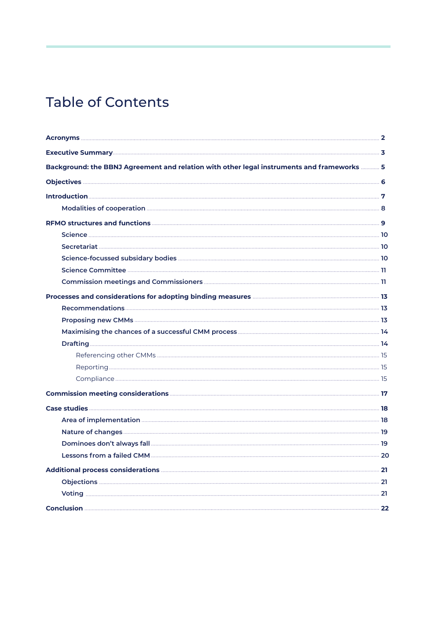# Table of Contents

| Background: the BBNJ Agreement and relation with other legal instruments and frameworks  5 |  |
|--------------------------------------------------------------------------------------------|--|
|                                                                                            |  |
|                                                                                            |  |
|                                                                                            |  |
|                                                                                            |  |
|                                                                                            |  |
|                                                                                            |  |
|                                                                                            |  |
|                                                                                            |  |
|                                                                                            |  |
|                                                                                            |  |
|                                                                                            |  |
|                                                                                            |  |
|                                                                                            |  |
|                                                                                            |  |
|                                                                                            |  |
|                                                                                            |  |
|                                                                                            |  |
|                                                                                            |  |
|                                                                                            |  |
|                                                                                            |  |
|                                                                                            |  |
|                                                                                            |  |
|                                                                                            |  |
|                                                                                            |  |
|                                                                                            |  |
|                                                                                            |  |
|                                                                                            |  |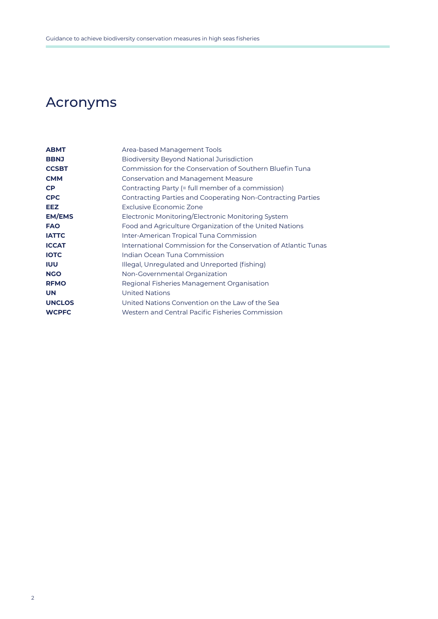# Acronyms

| <b>ABMT</b>   | Area-based Management Tools                                     |
|---------------|-----------------------------------------------------------------|
| <b>BBNJ</b>   | <b>Biodiversity Beyond National Jurisdiction</b>                |
| <b>CCSBT</b>  | Commission for the Conservation of Southern Bluefin Tuna        |
| <b>CMM</b>    | <b>Conservation and Management Measure</b>                      |
| <b>CP</b>     | Contracting Party (= full member of a commission)               |
| <b>CPC</b>    | Contracting Parties and Cooperating Non-Contracting Parties     |
| <b>EEZ</b>    | Exclusive Economic Zone                                         |
| <b>EM/EMS</b> | Electronic Monitoring/Electronic Monitoring System              |
| <b>FAO</b>    | Food and Agriculture Organization of the United Nations         |
| <b>IATTC</b>  | Inter-American Tropical Tuna Commission                         |
| <b>ICCAT</b>  | International Commission for the Conservation of Atlantic Tunas |
| <b>IOTC</b>   | Indian Ocean Tuna Commission                                    |
| <b>IUU</b>    | Illegal, Unregulated and Unreported (fishing)                   |
| <b>NGO</b>    | Non-Governmental Organization                                   |
| <b>RFMO</b>   | Regional Fisheries Management Organisation                      |
| <b>UN</b>     | <b>United Nations</b>                                           |
| <b>UNCLOS</b> | United Nations Convention on the Law of the Sea                 |
| <b>WCPFC</b>  | Western and Central Pacific Fisheries Commission                |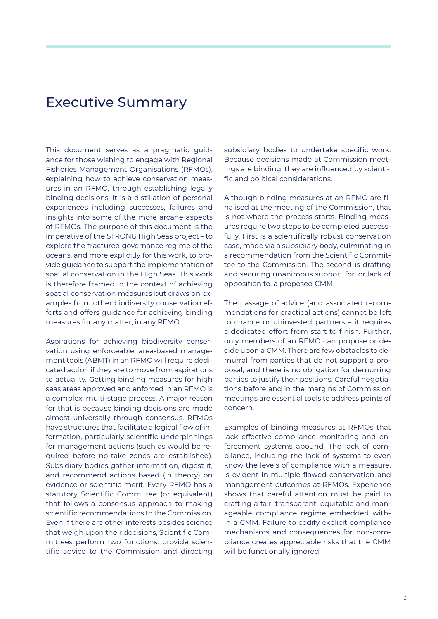# Executive Summary

This document serves as a pragmatic guidance for those wishing to engage with Regional Fisheries Management Organisations (RFMOs), explaining how to achieve conservation measures in an RFMO, through establishing legally binding decisions. It is a distillation of personal experiences including successes, failures and insights into some of the more arcane aspects of RFMOs. The purpose of this document is the imperative of the STRONG High Seas project – to explore the fractured governance regime of the oceans, and more explicitly for this work, to provide guidance to support the implementation of spatial conservation in the High Seas. This work is therefore framed in the context of achieving spatial conservation measures but draws on examples from other biodiversity conservation efforts and offers guidance for achieving binding measures for any matter, in any RFMO.

Aspirations for achieving biodiversity conservation using enforceable, area-based management tools (ABMT) in an RFMO will require dedicated action if they are to move from aspirations to actuality. Getting binding measures for high seas areas approved and enforced in an RFMO is a complex, multi-stage process. A major reason for that is because binding decisions are made almost universally through consensus. RFMOs have structures that facilitate a logical flow of information, particularly scientific underpinnings for management actions (such as would be required before no-take zones are established). Subsidiary bodies gather information, digest it, and recommend actions based (in theory) on evidence or scientific merit. Every RFMO has a statutory Scientific Committee (or equivalent) that follows a consensus approach to making scientific recommendations to the Commission. Even if there are other interests besides science that weigh upon their decisions, Scientific Committees perform two functions: provide scientific advice to the Commission and directing subsidiary bodies to undertake specific work. Because decisions made at Commission meetings are binding, they are influenced by scientific and political considerations.

Although binding measures at an RFMO are finalised at the meeting of the Commission, that is not where the process starts. Binding measures require two steps to be completed successfully. First is a scientifically robust conservation case, made via a subsidiary body, culminating in a recommendation from the Scientific Committee to the Commission. The second is drafting and securing unanimous support for, or lack of opposition to, a proposed CMM.

The passage of advice (and associated recommendations for practical actions) cannot be left to chance or uninvested partners – it requires a dedicated effort from start to finish. Further, only members of an RFMO can propose or decide upon a CMM. There are few obstacles to demurral from parties that do not support a proposal, and there is no obligation for demurring parties to justify their positions. Careful negotiations before and in the margins of Commission meetings are essential tools to address points of concern.

Examples of binding measures at RFMOs that lack effective compliance monitoring and enforcement systems abound. The lack of compliance, including the lack of systems to even know the levels of compliance with a measure, is evident in multiple flawed conservation and management outcomes at RFMOs. Experience shows that careful attention must be paid to crafting a fair, transparent, equitable and manageable compliance regime embedded within a CMM. Failure to codify explicit compliance mechanisms and consequences for non-compliance creates appreciable risks that the CMM will be functionally ignored.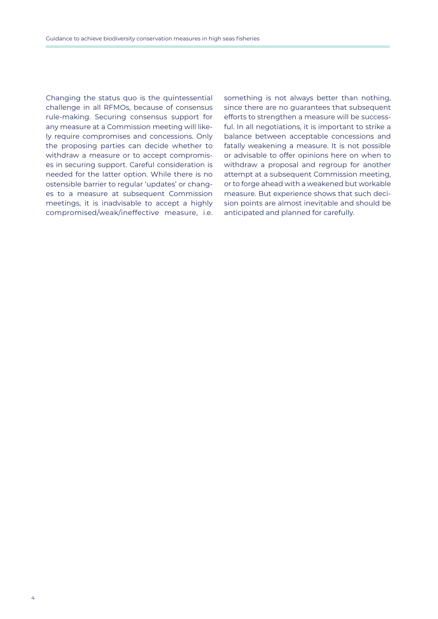Changing the status quo is the quintessential challenge in all RFMOs, because of consensus rule-making. Securing consensus support for any measure at a Commission meeting will likely require compromises and concessions. Only the proposing parties can decide whether to withdraw a measure or to accept compromises in securing support. Careful consideration is needed for the latter option. While there is no ostensible barrier to regular 'updates' or changes to a measure at subsequent Commission meetings, it is inadvisable to accept a highly compromised/weak/ineffective measure, i.e. something is not always better than nothing, since there are no guarantees that subsequent efforts to strengthen a measure will be successful. In all negotiations, it is important to strike a balance between acceptable concessions and fatally weakening a measure. It is not possible or advisable to offer opinions here on when to withdraw a proposal and regroup for another attempt at a subsequent Commission meeting, or to forge ahead with a weakened but workable measure. But experience shows that such decision points are almost inevitable and should be anticipated and planned for carefully.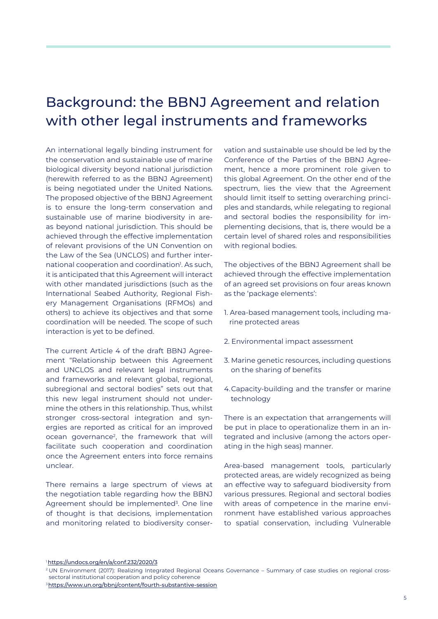# Background: the BBNJ Agreement and relation with other legal instruments and frameworks

An international legally binding instrument for the conservation and sustainable use of marine biological diversity beyond national jurisdiction (herewith referred to as the BBNJ Agreement) is being negotiated under the United Nations. The proposed objective of the BBNJ Agreement is to ensure the long-term conservation and sustainable use of marine biodiversity in areas beyond national jurisdiction. This should be achieved through the effective implementation of relevant provisions of the UN Convention on the Law of the Sea (UNCLOS) and further international cooperation and coordination<sup>1</sup>. As such, it is anticipated that this Agreement will interact with other mandated jurisdictions (such as the International Seabed Authority, Regional Fishery Management Organisations (RFMOs) and others) to achieve its objectives and that some coordination will be needed. The scope of such interaction is yet to be defined.

The current Article 4 of the draft BBNJ Agreement "Relationship between this Agreement and UNCLOS and relevant legal instruments and frameworks and relevant global, regional, subregional and sectoral bodies" sets out that this new legal instrument should not undermine the others in this relationship. Thus, whilst stronger cross-sectoral integration and synergies are reported as critical for an improved ocean governance<sup>2</sup>, the framework that will facilitate such cooperation and coordination once the Agreement enters into force remains unclear.

There remains a large spectrum of views at the negotiation table regarding how the BBNJ Agreement should be implemented<sup>3</sup>. One line of thought is that decisions, implementation and monitoring related to biodiversity conservation and sustainable use should be led by the Conference of the Parties of the BBNJ Agreement, hence a more prominent role given to this global Agreement. On the other end of the spectrum, lies the view that the Agreement should limit itself to setting overarching principles and standards, while relegating to regional and sectoral bodies the responsibility for implementing decisions, that is, there would be a certain level of shared roles and responsibilities with regional bodies.

The objectives of the BBNJ Agreement shall be achieved through the effective implementation of an agreed set provisions on four areas known as the 'package elements':

- 1. Area-based management tools, including marine protected areas
- 2. Environmental impact assessment
- 3. Marine genetic resources, including questions on the sharing of benefits
- 4. Capacity-building and the transfer or marine technology

There is an expectation that arrangements will be put in place to operationalize them in an integrated and inclusive (among the actors operating in the high seas) manner.

Area-based management tools, particularly protected areas, are widely recognized as being an effective way to safeguard biodiversity from various pressures. Regional and sectoral bodies with areas of competence in the marine environment have established various approaches to spatial conservation, including Vulnerable

<sup>1</sup><https://undocs.org/en/a/conf.232/2020/3>

<sup>2</sup> UN Environment (2017): Realizing Integrated Regional Oceans Governance – Summary of case studies on regional cross sectoral institutional cooperation and policy coherence

<sup>&</sup>lt;sup>3</sup><https://www.un.org/bbnj/content/fourth-substantive-session>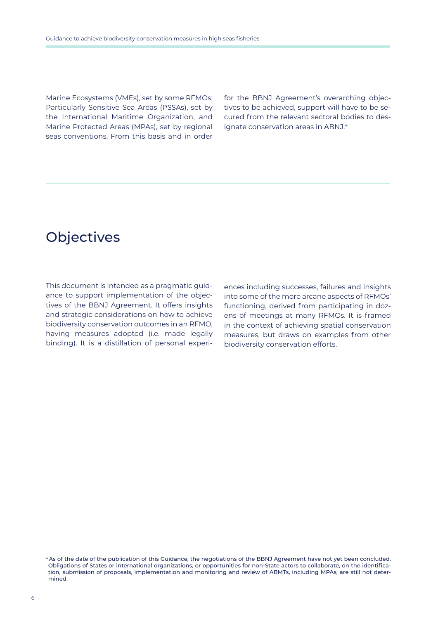Marine Ecosystems (VMEs), set by some RFMOs; Particularly Sensitive Sea Areas (PSSAs), set by the International Maritime Organization, and Marine Protected Areas (MPAs), set by regional seas conventions. From this basis and in order

for the BBNJ Agreement's overarching objectives to be achieved, support will have to be secured from the relevant sectoral bodies to designate conservation areas in ABNJ.<sup>4</sup>

# **Objectives**

This document is intended as a pragmatic guidance to support implementation of the objectives of the BBNJ Agreement. It offers insights and strategic considerations on how to achieve biodiversity conservation outcomes in an RFMO, having measures adopted (i.e. made legally binding). It is a distillation of personal experi-

ences including successes, failures and insights into some of the more arcane aspects of RFMOs' functioning, derived from participating in dozens of meetings at many RFMOs. It is framed in the context of achieving spatial conservation measures, but draws on examples from other biodiversity conservation efforts.

<sup>4</sup>[As of the date of the publication of this Guidance, the negotiations of the BBNJ Agreement have not yet been concluded.](https://www.un.org/bbnj/) [Obligations of States or international organizations, or opportunities for non-State actors to collaborate, on the identifica](https://www.un.org/bbnj/)[tion, submission of proposals, implementation and monitoring and review of ABMTs, including MPAs, are still not deter](https://www.un.org/bbnj/)[mined.](https://www.un.org/bbnj/)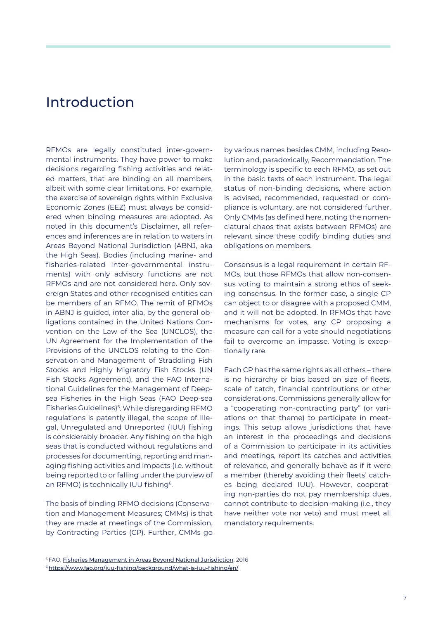## Introduction

RFMOs are legally constituted inter-governmental instruments. They have power to make decisions regarding fishing activities and related matters, that are binding on all members, albeit with some clear limitations. For example, the exercise of sovereign rights within Exclusive Economic Zones (EEZ) must always be considered when binding measures are adopted. As noted in this document's Disclaimer, all references and inferences are in relation to waters in Areas Beyond National Jurisdiction (ABNJ, aka the High Seas). Bodies (including marine- and fisheries-related inter-governmental instruments) with only advisory functions are not RFMOs and are not considered here. Only sovereign States and other recognised entities can be members of an RFMO. The remit of RFMOs in ABNJ is guided, inter alia, by the general obligations contained in the United Nations Convention on the Law of the Sea (UNCLOS), the UN Agreement for the Implementation of the Provisions of the UNCLOS relating to the Conservation and Management of Straddling Fish Stocks and Highly Migratory Fish Stocks (UN Fish Stocks Agreement), and the FAO International Guidelines for the Management of Deepsea Fisheries in the High Seas (FAO Deep-sea Fisheries Guidelines)<sup>5</sup>. While disregarding RFMO regulations is patently illegal, the scope of Illegal, Unregulated and Unreported (IUU) fishing is considerably broader. Any fishing on the high seas that is conducted without regulations and processes for documenting, reporting and managing fishing activities and impacts (i.e. without being reported to or falling under the purview of an RFMO) is technically IUU fishing<sup>6</sup>.

The basis of binding RFMO decisions (Conservation and Management Measures; CMMs) is that they are made at meetings of the Commission, by Contracting Parties (CP). Further, CMMs go

by various names besides CMM, including Resolution and, paradoxically, Recommendation. The terminology is specific to each RFMO, as set out in the basic texts of each instrument. The legal status of non-binding decisions, where action is advised, recommended, requested or compliance is voluntary, are not considered further. Only CMMs (as defined here, noting the nomenclatural chaos that exists between RFMOs) are relevant since these codify binding duties and obligations on members.

Consensus is a legal requirement in certain RF-MOs, but those RFMOs that allow non-consensus voting to maintain a strong ethos of seeking consensus. In the former case, a single CP can object to or disagree with a proposed CMM, and it will not be adopted. In RFMOs that have mechanisms for votes, any CP proposing a measure can call for a vote should negotiations fail to overcome an impasse. Voting is exceptionally rare.

Each CP has the same rights as all others – there is no hierarchy or bias based on size of fleets, scale of catch, financial contributions or other considerations. Commissions generally allow for a "cooperating non-contracting party" (or variations on that theme) to participate in meetings. This setup allows jurisdictions that have an interest in the proceedings and decisions of a Commission to participate in its activities and meetings, report its catches and activities of relevance, and generally behave as if it were a member (thereby avoiding their fleets' catches being declared IUU). However, cooperating non-parties do not pay membership dues, cannot contribute to decision-making (i.e., they have neither vote nor veto) and must meet all mandatory requirements.

<sup>5</sup> FAO, [Fisheries Management in Areas Beyond National Jurisdiction](https://www.cbd.int/doc/meetings/mar/soiom-2016-01/other/soiom-2016-01-fao-12-en.pdf), 2016

<sup>6</sup><https://www.fao.org/iuu-fishing/background/what-is-iuu-fishing/en/>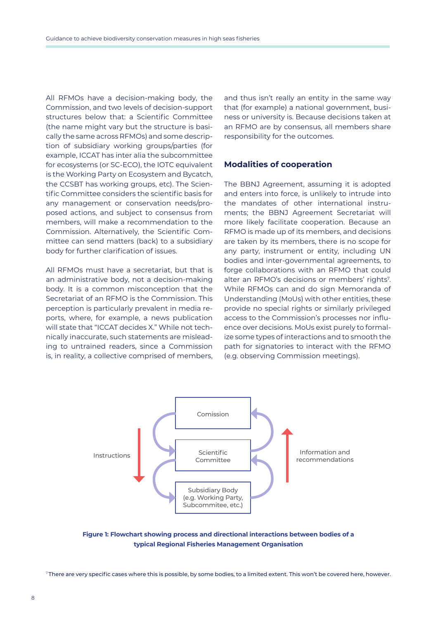All RFMOs have a decision-making body, the Commission, and two levels of decision-support structures below that: a Scientific Committee (the name might vary but the structure is basically the same across RFMOs) and some description of subsidiary working groups/parties (for example, ICCAT has inter alia the subcommittee for ecosystems (or SC-ECO), the IOTC equivalent is the Working Party on Ecosystem and Bycatch, the CCSBT has working groups, etc). The Scientific Committee considers the scientific basis for any management or conservation needs/proposed actions, and subject to consensus from members, will make a recommendation to the Commission. Alternatively, the Scientific Committee can send matters (back) to a subsidiary body for further clarification of issues.

All RFMOs must have a secretariat, but that is an administrative body, not a decision-making body. It is a common misconception that the Secretariat of an RFMO is the Commission. This perception is particularly prevalent in media reports, where, for example, a news publication will state that "ICCAT decides X." While not technically inaccurate, such statements are misleading to untrained readers, since a Commission is, in reality, a collective comprised of members, and thus isn't really an entity in the same way that (for example) a national government, business or university is. Because decisions taken at an RFMO are by consensus, all members share responsibility for the outcomes.

### **Modalities of cooperation**

The BBNJ Agreement, assuming it is adopted and enters into force, is unlikely to intrude into the mandates of other international instruments; the BBNJ Agreement Secretariat will more likely facilitate cooperation. Because an RFMO is made up of its members, and decisions are taken by its members, there is no scope for any party, instrument or entity, including UN bodies and inter-governmental agreements, to forge collaborations with an RFMO that could alter an RFMO's decisions or members' rights<sup>7</sup>. While RFMOs can and do sign Memoranda of Understanding (MoUs) with other entities, these provide no special rights or similarly privileged access to the Commission's processes nor influence over decisions. MoUs exist purely to formalize some types of interactions and to smooth the path for signatories to interact with the RFMO (e.g. observing Commission meetings).



**Figure 1: Flowchart showing process and directional interactions between bodies of a typical Regional Fisheries Management Organisation**

<sup>7</sup>There are very specific cases where this is possible, by some bodies, to a limited extent. This won't be covered here, however.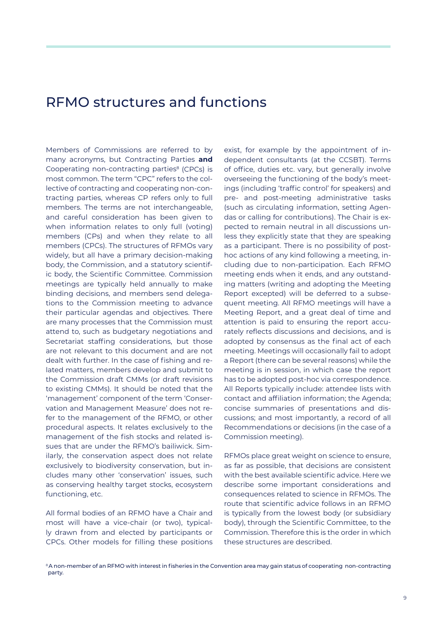## RFMO structures and functions

Members of Commissions are referred to by many acronyms, but Contracting Parties **and** Cooperating non-contracting parties<sup>8</sup> (CPCs) is most common. The term "CPC" refers to the collective of contracting and cooperating non-contracting parties, whereas CP refers only to full members. The terms are not interchangeable, and careful consideration has been given to when information relates to only full (voting) members (CPs) and when they relate to all members (CPCs). The structures of RFMOs vary widely, but all have a primary decision-making body, the Commission, and a statutory scientific body, the Scientific Committee. Commission meetings are typically held annually to make binding decisions, and members send delegations to the Commission meeting to advance their particular agendas and objectives. There are many processes that the Commission must attend to, such as budgetary negotiations and Secretariat staffing considerations, but those are not relevant to this document and are not dealt with further. In the case of fishing and related matters, members develop and submit to the Commission draft CMMs (or draft revisions to existing CMMs). It should be noted that the 'management' component of the term 'Conservation and Management Measure' does not refer to the management of the RFMO, or other procedural aspects. It relates exclusively to the management of the fish stocks and related issues that are under the RFMO's bailiwick. Similarly, the conservation aspect does not relate exclusively to biodiversity conservation, but includes many other 'conservation' issues, such as conserving healthy target stocks, ecosystem functioning, etc.

All formal bodies of an RFMO have a Chair and most will have a vice-chair (or two), typically drawn from and elected by participants or CPCs. Other models for filling these positions

exist, for example by the appointment of independent consultants (at the CCSBT). Terms of office, duties etc. vary, but generally involve overseeing the functioning of the body's meetings (including 'traffic control' for speakers) and pre- and post-meeting administrative tasks (such as circulating information, setting Agendas or calling for contributions). The Chair is expected to remain neutral in all discussions unless they explicitly state that they are speaking as a participant. There is no possibility of posthoc actions of any kind following a meeting, including due to non-participation. Each RFMO meeting ends when it ends, and any outstanding matters (writing and adopting the Meeting Report excepted) will be deferred to a subsequent meeting. All RFMO meetings will have a Meeting Report, and a great deal of time and attention is paid to ensuring the report accurately reflects discussions and decisions, and is adopted by consensus as the final act of each meeting. Meetings will occasionally fail to adopt a Report (there can be several reasons) while the meeting is in session, in which case the report has to be adopted post-hoc via correspondence. All Reports typically include: attendee lists with contact and affiliation information; the Agenda; concise summaries of presentations and discussions; and most importantly, a record of all Recommendations or decisions (in the case of a Commission meeting).

RFMOs place great weight on science to ensure, as far as possible, that decisions are consistent with the best available scientific advice. Here we describe some important considerations and consequences related to science in RFMOs. The route that scientific advice follows in an RFMO is typically from the lowest body (or subsidiary body), through the Scientific Committee, to the Commission. Therefore this is the order in which these structures are described.

<sup>&</sup>lt;sup>8</sup>A non-member of an RFMO with interest in fisheries in the Convention area may gain status of cooperating non-contracting party.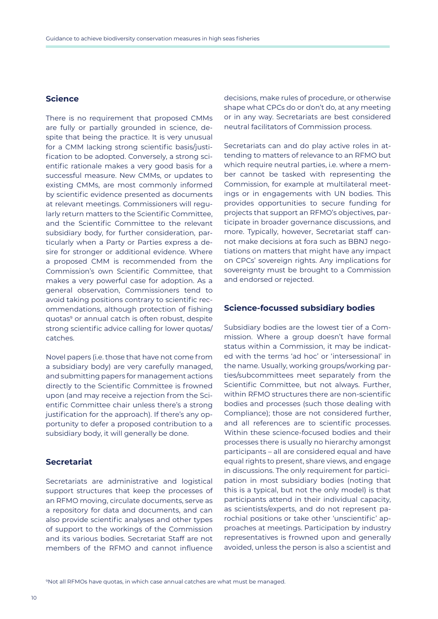## **Science**

There is no requirement that proposed CMMs are fully or partially grounded in science, despite that being the practice. It is very unusual for a CMM lacking strong scientific basis/justification to be adopted. Conversely, a strong scientific rationale makes a very good basis for a successful measure. New CMMs, or updates to existing CMMs, are most commonly informed by scientific evidence presented as documents at relevant meetings. Commissioners will regularly return matters to the Scientific Committee, and the Scientific Committee to the relevant subsidiary body, for further consideration, particularly when a Party or Parties express a desire for stronger or additional evidence. Where a proposed CMM is recommended from the Commission's own Scientific Committee, that makes a very powerful case for adoption. As a general observation, Commissioners tend to avoid taking positions contrary to scientific recommendations, although protection of fishing quotas9 or annual catch is often robust, despite strong scientific advice calling for lower quotas/ catches.

Novel papers (i.e. those that have not come from a subsidiary body) are very carefully managed, and submitting papers for management actions directly to the Scientific Committee is frowned upon (and may receive a rejection from the Scientific Committee chair unless there's a strong justification for the approach). If there's any opportunity to defer a proposed contribution to a subsidiary body, it will generally be done.

## **Secretariat**

Secretariats are administrative and logistical support structures that keep the processes of an RFMO moving, circulate documents, serve as a repository for data and documents, and can also provide scientific analyses and other types of support to the workings of the Commission and its various bodies. Secretariat Staff are not members of the RFMO and cannot influence decisions, make rules of procedure, or otherwise shape what CPCs do or don't do, at any meeting or in any way. Secretariats are best considered neutral facilitators of Commission process.

Secretariats can and do play active roles in attending to matters of relevance to an RFMO but which require neutral parties, i.e. where a member cannot be tasked with representing the Commission, for example at multilateral meetings or in engagements with UN bodies. This provides opportunities to secure funding for projects that support an RFMO's objectives, participate in broader governance discussions, and more. Typically, however, Secretariat staff cannot make decisions at fora such as BBNJ negotiations on matters that might have any impact on CPCs' sovereign rights. Any implications for sovereignty must be brought to a Commission and endorsed or rejected.

#### **Science-focussed subsidiary bodies**

Subsidiary bodies are the lowest tier of a Commission. Where a group doesn't have formal status within a Commission, it may be indicated with the terms 'ad hoc' or 'intersessional' in the name. Usually, working groups/working parties/subcommittees meet separately from the Scientific Committee, but not always. Further, within RFMO structures there are non-scientific bodies and processes (such those dealing with Compliance); those are not considered further, and all references are to scientific processes. Within these science-focused bodies and their processes there is usually no hierarchy amongst participants – all are considered equal and have equal rights to present, share views, and engage in discussions. The only requirement for participation in most subsidiary bodies (noting that this is a typical, but not the only model) is that participants attend in their individual capacity, as scientists/experts, and do not represent parochial positions or take other 'unscientific' approaches at meetings. Participation by industry representatives is frowned upon and generally avoided, unless the person is also a scientist and

<sup>9</sup> Not all RFMOs have quotas, in which case annual catches are what must be managed.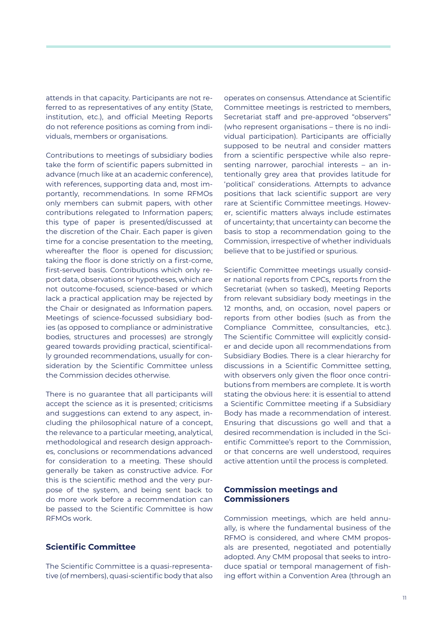attends in that capacity. Participants are not referred to as representatives of any entity (State, institution, etc.), and official Meeting Reports do not reference positions as coming from individuals, members or organisations.

Contributions to meetings of subsidiary bodies take the form of scientific papers submitted in advance (much like at an academic conference), with references, supporting data and, most importantly, recommendations. In some RFMOs only members can submit papers, with other contributions relegated to Information papers; this type of paper is presented/discussed at the discretion of the Chair. Each paper is given time for a concise presentation to the meeting, whereafter the floor is opened for discussion; taking the floor is done strictly on a first-come, first-served basis. Contributions which only report data, observations or hypotheses, which are not outcome-focused, science-based or which lack a practical application may be rejected by the Chair or designated as Information papers. Meetings of science-focussed subsidiary bodies (as opposed to compliance or administrative bodies, structures and processes) are strongly geared towards providing practical, scientifically grounded recommendations, usually for consideration by the Scientific Committee unless the Commission decides otherwise.

There is no guarantee that all participants will accept the science as it is presented; criticisms and suggestions can extend to any aspect, including the philosophical nature of a concept, the relevance to a particular meeting, analytical, methodological and research design approaches, conclusions or recommendations advanced for consideration to a meeting. These should generally be taken as constructive advice. For this is the scientific method and the very purpose of the system, and being sent back to do more work before a recommendation can be passed to the Scientific Committee is how RFMOs work.

## **Scientific Committee**

The Scientific Committee is a quasi-representative (of members), quasi-scientific body that also operates on consensus. Attendance at Scientific Committee meetings is restricted to members, Secretariat staff and pre-approved "observers" (who represent organisations – there is no individual participation). Participants are officially supposed to be neutral and consider matters from a scientific perspective while also representing narrower, parochial interests – an intentionally grey area that provides latitude for 'political' considerations. Attempts to advance positions that lack scientific support are very rare at Scientific Committee meetings. However, scientific matters always include estimates of uncertainty; that uncertainty can become the basis to stop a recommendation going to the Commission, irrespective of whether individuals believe that to be justified or spurious.

Scientific Committee meetings usually consider national reports from CPCs, reports from the Secretariat (when so tasked), Meeting Reports from relevant subsidiary body meetings in the 12 months, and, on occasion, novel papers or reports from other bodies (such as from the Compliance Committee, consultancies, etc.). The Scientific Committee will explicitly consider and decide upon all recommendations from Subsidiary Bodies. There is a clear hierarchy for discussions in a Scientific Committee setting, with observers only given the floor once contributions from members are complete. It is worth stating the obvious here: it is essential to attend a Scientific Committee meeting if a Subsidiary Body has made a recommendation of interest. Ensuring that discussions go well and that a desired recommendation is included in the Scientific Committee's report to the Commission, or that concerns are well understood, requires active attention until the process is completed.

## **Commission meetings and Commissioners**

Commission meetings, which are held annually, is where the fundamental business of the RFMO is considered, and where CMM proposals are presented, negotiated and potentially adopted. Any CMM proposal that seeks to introduce spatial or temporal management of fishing effort within a Convention Area (through an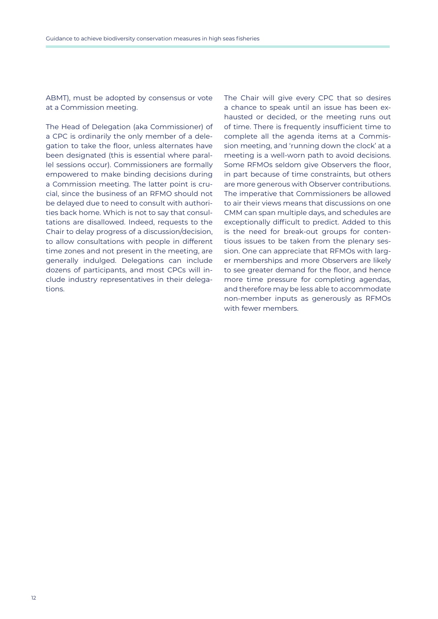ABMT), must be adopted by consensus or vote at a Commission meeting.

The Head of Delegation (aka Commissioner) of a CPC is ordinarily the only member of a delegation to take the floor, unless alternates have been designated (this is essential where parallel sessions occur). Commissioners are formally empowered to make binding decisions during a Commission meeting. The latter point is crucial, since the business of an RFMO should not be delayed due to need to consult with authorities back home. Which is not to say that consultations are disallowed. Indeed, requests to the Chair to delay progress of a discussion/decision, to allow consultations with people in different time zones and not present in the meeting, are generally indulged. Delegations can include dozens of participants, and most CPCs will include industry representatives in their delegations.

The Chair will give every CPC that so desires a chance to speak until an issue has been exhausted or decided, or the meeting runs out of time. There is frequently insufficient time to complete all the agenda items at a Commission meeting, and 'running down the clock' at a meeting is a well-worn path to avoid decisions. Some RFMOs seldom give Observers the floor, in part because of time constraints, but others are more generous with Observer contributions. The imperative that Commissioners be allowed to air their views means that discussions on one CMM can span multiple days, and schedules are exceptionally difficult to predict. Added to this is the need for break-out groups for contentious issues to be taken from the plenary session. One can appreciate that RFMOs with larger memberships and more Observers are likely to see greater demand for the floor, and hence more time pressure for completing agendas, and therefore may be less able to accommodate non-member inputs as generously as RFMOs with fewer members.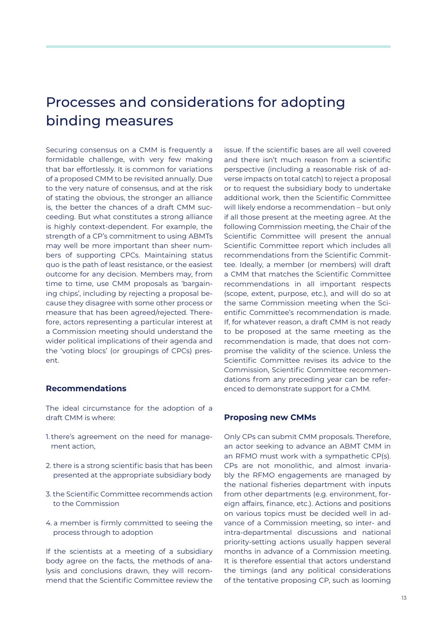# Processes and considerations for adopting binding measures

Securing consensus on a CMM is frequently a formidable challenge, with very few making that bar effortlessly. It is common for variations of a proposed CMM to be revisited annually. Due to the very nature of consensus, and at the risk of stating the obvious, the stronger an alliance is, the better the chances of a draft CMM succeeding. But what constitutes a strong alliance is highly context-dependent. For example, the strength of a CP's commitment to using ABMTs may well be more important than sheer numbers of supporting CPCs. Maintaining status quo is the path of least resistance, or the easiest outcome for any decision. Members may, from time to time, use CMM proposals as 'bargaining chips', including by rejecting a proposal because they disagree with some other process or measure that has been agreed/rejected. Therefore, actors representing a particular interest at a Commission meeting should understand the wider political implications of their agenda and the 'voting blocs' (or groupings of CPCs) present.

## **Recommendations**

The ideal circumstance for the adoption of a draft CMM is where:

- 1. there's agreement on the need for management action,
- 2. there is a strong scientific basis that has been presented at the appropriate subsidiary body
- 3. the Scientific Committee recommends action to the Commission
- 4. a member is firmly committed to seeing the process through to adoption

If the scientists at a meeting of a subsidiary body agree on the facts, the methods of analysis and conclusions drawn, they will recommend that the Scientific Committee review the

issue. If the scientific bases are all well covered and there isn't much reason from a scientific perspective (including a reasonable risk of adverse impacts on total catch) to reject a proposal or to request the subsidiary body to undertake additional work, then the Scientific Committee will likely endorse a recommendation – but only if all those present at the meeting agree. At the following Commission meeting, the Chair of the Scientific Committee will present the annual Scientific Committee report which includes all recommendations from the Scientific Committee. Ideally, a member (or members) will draft a CMM that matches the Scientific Committee recommendations in all important respects (scope, extent, purpose, etc.), and will do so at the same Commission meeting when the Scientific Committee's recommendation is made. If, for whatever reason, a draft CMM is not ready to be proposed at the same meeting as the recommendation is made, that does not compromise the validity of the science. Unless the Scientific Committee revises its advice to the Commission, Scientific Committee recommendations from any preceding year can be referenced to demonstrate support for a CMM.

## **Proposing new CMMs**

Only CPs can submit CMM proposals. Therefore, an actor seeking to advance an ABMT CMM in an RFMO must work with a sympathetic CP(s). CPs are not monolithic, and almost invariably the RFMO engagements are managed by the national fisheries department with inputs from other departments (e.g. environment, foreign affairs, finance, etc.). Actions and positions on various topics must be decided well in advance of a Commission meeting, so inter- and intra-departmental discussions and national priority-setting actions usually happen several months in advance of a Commission meeting. It is therefore essential that actors understand the timings (and any political considerations of the tentative proposing CP, such as looming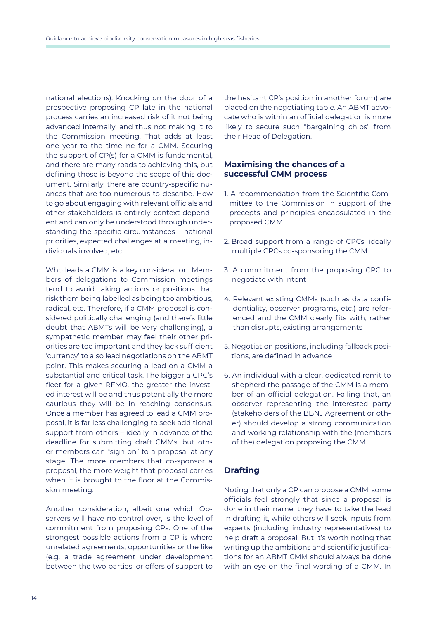national elections). Knocking on the door of a prospective proposing CP late in the national process carries an increased risk of it not being advanced internally, and thus not making it to the Commission meeting. That adds at least one year to the timeline for a CMM. Securing the support of CP(s) for a CMM is fundamental, and there are many roads to achieving this, but defining those is beyond the scope of this document. Similarly, there are country-specific nuances that are too numerous to describe. How to go about engaging with relevant officials and other stakeholders is entirely context-dependent and can only be understood through understanding the specific circumstances – national priorities, expected challenges at a meeting, individuals involved, etc.

Who leads a CMM is a key consideration. Members of delegations to Commission meetings tend to avoid taking actions or positions that risk them being labelled as being too ambitious, radical, etc. Therefore, if a CMM proposal is considered politically challenging (and there's little doubt that ABMTs will be very challenging), a sympathetic member may feel their other priorities are too important and they lack sufficient 'currency' to also lead negotiations on the ABMT point. This makes securing a lead on a CMM a substantial and critical task. The bigger a CPC's fleet for a given RFMO, the greater the invested interest will be and thus potentially the more cautious they will be in reaching consensus. Once a member has agreed to lead a CMM proposal, it is far less challenging to seek additional support from others – ideally in advance of the deadline for submitting draft CMMs, but other members can "sign on" to a proposal at any stage. The more members that co-sponsor a proposal, the more weight that proposal carries when it is brought to the floor at the Commission meeting.

Another consideration, albeit one which Observers will have no control over, is the level of commitment from proposing CPs. One of the strongest possible actions from a CP is where unrelated agreements, opportunities or the like (e.g. a trade agreement under development between the two parties, or offers of support to the hesitant CP's position in another forum) are placed on the negotiating table. An ABMT advocate who is within an official delegation is more likely to secure such "bargaining chips" from their Head of Delegation.

## **Maximising the chances of a successful CMM process**

- 1. A recommendation from the Scientific Committee to the Commission in support of the precepts and principles encapsulated in the proposed CMM
- 2. Broad support from a range of CPCs, ideally multiple CPCs co-sponsoring the CMM
- 3. A commitment from the proposing CPC to negotiate with intent
- 4. Relevant existing CMMs (such as data confidentiality, observer programs, etc.) are referenced and the CMM clearly fits with, rather than disrupts, existing arrangements
- 5. Negotiation positions, including fallback positions, are defined in advance
- 6. An individual with a clear, dedicated remit to shepherd the passage of the CMM is a member of an official delegation. Failing that, an observer representing the interested party (stakeholders of the BBNJ Agreement or other) should develop a strong communication and working relationship with the (members of the) delegation proposing the CMM

## **Drafting**

Noting that only a CP can propose a CMM, some officials feel strongly that since a proposal is done in their name, they have to take the lead in drafting it, while others will seek inputs from experts (including industry representatives) to help draft a proposal. But it's worth noting that writing up the ambitions and scientific justifications for an ABMT CMM should always be done with an eye on the final wording of a CMM. In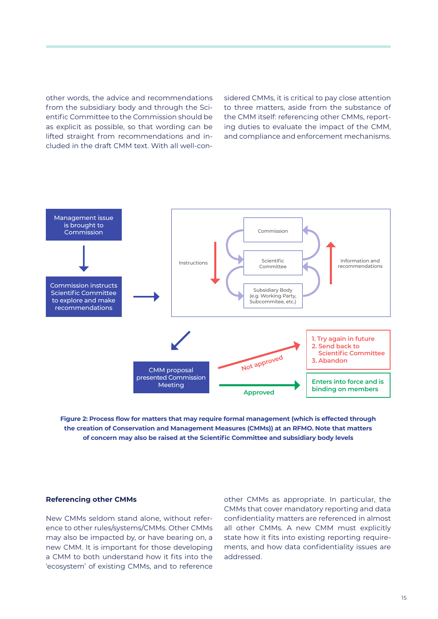other words, the advice and recommendations from the subsidiary body and through the Scientific Committee to the Commission should be as explicit as possible, so that wording can be lifted straight from recommendations and included in the draft CMM text. With all well-considered CMMs, it is critical to pay close attention to three matters, aside from the substance of the CMM itself: referencing other CMMs, reporting duties to evaluate the impact of the CMM, and compliance and enforcement mechanisms.



**Figure 2: Process flow for matters that may require formal management (which is effected through the creation of Conservation and Management Measures (CMMs)) at an RFMO. Note that matters of concern may also be raised at the Scientific Committee and subsidiary body levels**

#### **Referencing other CMMs**

New CMMs seldom stand alone, without reference to other rules/systems/CMMs. Other CMMs may also be impacted by, or have bearing on, a new CMM. It is important for those developing a CMM to both understand how it fits into the 'ecosystem' of existing CMMs, and to reference

other CMMs as appropriate. In particular, the CMMs that cover mandatory reporting and data confidentiality matters are referenced in almost all other CMMs. A new CMM must explicitly state how it fits into existing reporting requirements, and how data confidentiality issues are addressed.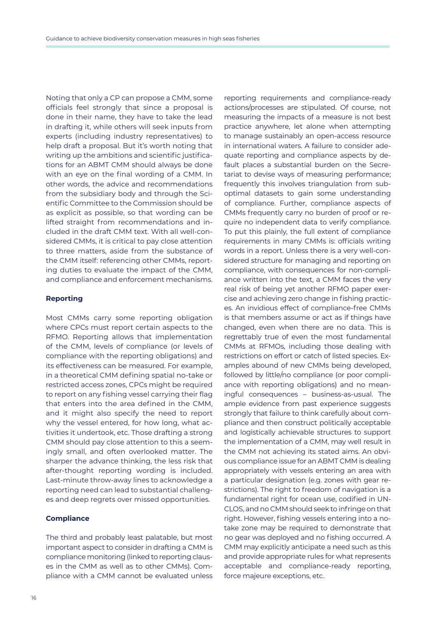Noting that only a CP can propose a CMM, some officials feel strongly that since a proposal is done in their name, they have to take the lead in drafting it, while others will seek inputs from experts (including industry representatives) to help draft a proposal. But it's worth noting that writing up the ambitions and scientific justifications for an ABMT CMM should always be done with an eye on the final wording of a CMM. In other words, the advice and recommendations from the subsidiary body and through the Scientific Committee to the Commission should be as explicit as possible, so that wording can be lifted straight from recommendations and included in the draft CMM text. With all well-considered CMMs, it is critical to pay close attention to three matters, aside from the substance of the CMM itself: referencing other CMMs, reporting duties to evaluate the impact of the CMM, and compliance and enforcement mechanisms.

#### **Reporting**

Most CMMs carry some reporting obligation where CPCs must report certain aspects to the RFMO. Reporting allows that implementation of the CMM, levels of compliance (or levels of compliance with the reporting obligations) and its effectiveness can be measured. For example, in a theoretical CMM defining spatial no-take or restricted access zones, CPCs might be required to report on any fishing vessel carrying their flag that enters into the area defined in the CMM, and it might also specify the need to report why the vessel entered, for how long, what activities it undertook, etc. Those drafting a strong CMM should pay close attention to this a seemingly small, and often overlooked matter. The sharper the advance thinking, the less risk that after-thought reporting wording is included. Last-minute throw-away lines to acknowledge a reporting need can lead to substantial challenges and deep regrets over missed opportunities.

#### **Compliance**

The third and probably least palatable, but most important aspect to consider in drafting a CMM is compliance monitoring (linked to reporting clauses in the CMM as well as to other CMMs). Compliance with a CMM cannot be evaluated unless

reporting requirements and compliance-ready actions/processes are stipulated. Of course, not measuring the impacts of a measure is not best practice anywhere, let alone when attempting to manage sustainably an open-access resource in international waters. A failure to consider adequate reporting and compliance aspects by default places a substantial burden on the Secretariat to devise ways of measuring performance; frequently this involves triangulation from suboptimal datasets to gain some understanding of compliance. Further, compliance aspects of CMMs frequently carry no burden of proof or require no independent data to verify compliance. To put this plainly, the full extent of compliance requirements in many CMMs is: officials writing words in a report. Unless there is a very well-considered structure for managing and reporting on compliance, with consequences for non-compliance written into the text, a CMM faces the very real risk of being yet another RFMO paper exercise and achieving zero change in fishing practices. An invidious effect of compliance-free CMMs is that members assume or act as if things have changed, even when there are no data. This is regrettably true of even the most fundamental CMMs at RFMOs, including those dealing with restrictions on effort or catch of listed species. Examples abound of new CMMs being developed, followed by little/no compliance (or poor compliance with reporting obligations) and no meaningful consequences – business-as-usual. The ample evidence from past experience suggests strongly that failure to think carefully about compliance and then construct politically acceptable and logistically achievable structures to support the implementation of a CMM, may well result in the CMM not achieving its stated aims. An obvious compliance issue for an ABMT CMM is dealing appropriately with vessels entering an area with a particular designation (e.g. zones with gear restrictions). The right to freedom of navigation is a fundamental right for ocean use, codified in UN-CLOS, and no CMM should seek to infringe on that right. However, fishing vessels entering into a notake zone may be required to demonstrate that no gear was deployed and no fishing occurred. A CMM may explicitly anticipate a need such as this and provide appropriate rules for what represents acceptable and compliance-ready reporting, force majeure exceptions, etc.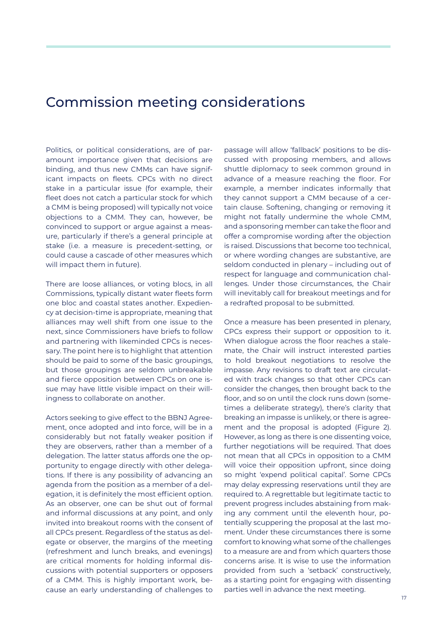## Commission meeting considerations

Politics, or political considerations, are of paramount importance given that decisions are binding, and thus new CMMs can have significant impacts on fleets. CPCs with no direct stake in a particular issue (for example, their fleet does not catch a particular stock for which a CMM is being proposed) will typically not voice objections to a CMM. They can, however, be convinced to support or argue against a measure, particularly if there's a general principle at stake (i.e. a measure is precedent-setting, or could cause a cascade of other measures which will impact them in future).

There are loose alliances, or voting blocs, in all Commissions, typically distant water fleets form one bloc and coastal states another. Expediency at decision-time is appropriate, meaning that alliances may well shift from one issue to the next, since Commissioners have briefs to follow and partnering with likeminded CPCs is necessary. The point here is to highlight that attention should be paid to some of the basic groupings. but those groupings are seldom unbreakable and fierce opposition between CPCs on one issue may have little visible impact on their willingness to collaborate on another.

Actors seeking to give effect to the BBNJ Agreement, once adopted and into force, will be in a considerably but not fatally weaker position if they are observers, rather than a member of a delegation. The latter status affords one the opportunity to engage directly with other delegations. If there is any possibility of advancing an agenda from the position as a member of a delegation, it is definitely the most efficient option. As an observer, one can be shut out of formal and informal discussions at any point, and only invited into breakout rooms with the consent of all CPCs present. Regardless of the status as delegate or observer, the margins of the meeting (refreshment and lunch breaks, and evenings) are critical moments for holding informal discussions with potential supporters or opposers of a CMM. This is highly important work, because an early understanding of challenges to

passage will allow 'fallback' positions to be discussed with proposing members, and allows shuttle diplomacy to seek common ground in advance of a measure reaching the floor. For example, a member indicates informally that they cannot support a CMM because of a certain clause. Softening, changing or removing it might not fatally undermine the whole CMM, and a sponsoring member can take the floor and offer a compromise wording after the objection is raised. Discussions that become too technical, or where wording changes are substantive, are seldom conducted in plenary – including out of respect for language and communication challenges. Under those circumstances, the Chair will inevitably call for breakout meetings and for a redrafted proposal to be submitted.

Once a measure has been presented in plenary, CPCs express their support or opposition to it. When dialogue across the floor reaches a stalemate, the Chair will instruct interested parties to hold breakout negotiations to resolve the impasse. Any revisions to draft text are circulated with track changes so that other CPCs can consider the changes, then brought back to the floor, and so on until the clock runs down (sometimes a deliberate strategy), there's clarity that breaking an impasse is unlikely, or there is agreement and the proposal is adopted (Figure 2). However, as long as there is one dissenting voice, further negotiations will be required. That does not mean that all CPCs in opposition to a CMM will voice their opposition upfront, since doing so might 'expend political capital'. Some CPCs may delay expressing reservations until they are required to. A regrettable but legitimate tactic to prevent progress includes abstaining from making any comment until the eleventh hour, potentially scuppering the proposal at the last moment. Under these circumstances there is some comfort to knowing what some of the challenges to a measure are and from which quarters those concerns arise. It is wise to use the information provided from such a 'setback' constructively, as a starting point for engaging with dissenting parties well in advance the next meeting.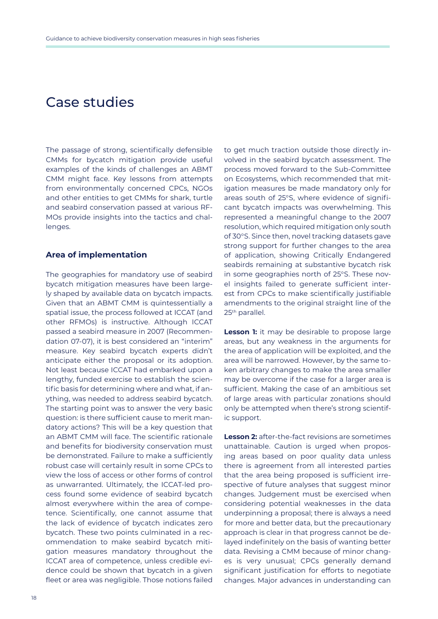## Case studies

The passage of strong, scientifically defensible CMMs for bycatch mitigation provide useful examples of the kinds of challenges an ABMT CMM might face. Key lessons from attempts from environmentally concerned CPCs, NGOs and other entities to get CMMs for shark, turtle and seabird conservation passed at various RF-MOs provide insights into the tactics and challenges.

## **Area of implementation**

The geographies for mandatory use of seabird bycatch mitigation measures have been largely shaped by available data on bycatch impacts. Given that an ABMT CMM is quintessentially a spatial issue, the process followed at ICCAT (and other RFMOs) is instructive. Although ICCAT passed a seabird measure in 2007 (Recommendation 07-07), it is best considered an "interim" measure. Key seabird bycatch experts didn't anticipate either the proposal or its adoption. Not least because ICCAT had embarked upon a lengthy, funded exercise to establish the scientific basis for determining where and what, if anything, was needed to address seabird bycatch. The starting point was to answer the very basic question: is there sufficient cause to merit mandatory actions? This will be a key question that an ABMT CMM will face. The scientific rationale and benefits for biodiversity conservation must be demonstrated. Failure to make a sufficiently robust case will certainly result in some CPCs to view the loss of access or other forms of control as unwarranted. Ultimately, the ICCAT-led process found some evidence of seabird bycatch almost everywhere within the area of competence. Scientifically, one cannot assume that the lack of evidence of bycatch indicates zero bycatch. These two points culminated in a recommendation to make seabird bycatch mitigation measures mandatory throughout the ICCAT area of competence, unless credible evidence could be shown that bycatch in a given fleet or area was negligible. Those notions failed

to get much traction outside those directly involved in the seabird bycatch assessment. The process moved forward to the Sub-Committee on Ecosystems, which recommended that mitigation measures be made mandatory only for areas south of 25°S, where evidence of significant bycatch impacts was overwhelming. This represented a meaningful change to the 2007 resolution, which required mitigation only south of 30°S. Since then, novel tracking datasets gave strong support for further changes to the area of application, showing Critically Endangered seabirds remaining at substantive bycatch risk in some geographies north of 25°S. These novel insights failed to generate sufficient interest from CPCs to make scientifically justifiable amendments to the original straight line of the 25th parallel.

**Lesson 1:** it may be desirable to propose large areas, but any weakness in the arguments for the area of application will be exploited, and the area will be narrowed. However, by the same token arbitrary changes to make the area smaller may be overcome if the case for a larger area is sufficient. Making the case of an ambitious set of large areas with particular zonations should only be attempted when there's strong scientific support.

**Lesson 2:** after-the-fact revisions are sometimes unattainable. Caution is urged when proposing areas based on poor quality data unless there is agreement from all interested parties that the area being proposed is sufficient irrespective of future analyses that suggest minor changes. Judgement must be exercised when considering potential weaknesses in the data underpinning a proposal; there is always a need for more and better data, but the precautionary approach is clear in that progress cannot be delayed indefinitely on the basis of wanting better data. Revising a CMM because of minor changes is very unusual; CPCs generally demand significant justification for efforts to negotiate changes. Major advances in understanding can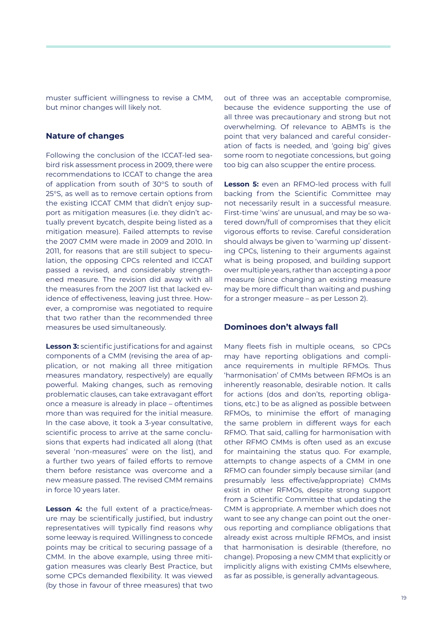muster sufficient willingness to revise a CMM, but minor changes will likely not.

## **Nature of changes**

Following the conclusion of the ICCAT-led seabird risk assessment process in 2009, there were recommendations to ICCAT to change the area of application from south of 30°S to south of 25°S, as well as to remove certain options from the existing ICCAT CMM that didn't enjoy support as mitigation measures (i.e. they didn't actually prevent bycatch, despite being listed as a mitigation measure). Failed attempts to revise the 2007 CMM were made in 2009 and 2010. In 2011, for reasons that are still subject to speculation, the opposing CPCs relented and ICCAT passed a revised, and considerably strengthened measure. The revision did away with all the measures from the 2007 list that lacked evidence of effectiveness, leaving just three. However, a compromise was negotiated to require that two rather than the recommended three measures be used simultaneously.

**Lesson 3:** scientific justifications for and against components of a CMM (revising the area of application, or not making all three mitigation measures mandatory, respectively) are equally powerful. Making changes, such as removing problematic clauses, can take extravagant effort once a measure is already in place – oftentimes more than was required for the initial measure. In the case above, it took a 3-year consultative, scientific process to arrive at the same conclusions that experts had indicated all along (that several 'non-measures' were on the list), and a further two years of failed efforts to remove them before resistance was overcome and a new measure passed. The revised CMM remains in force 10 years later.

**Lesson 4:** the full extent of a practice/measure may be scientifically justified, but industry representatives will typically find reasons why some leeway is required. Willingness to concede points may be critical to securing passage of a CMM. In the above example, using three mitigation measures was clearly Best Practice, but some CPCs demanded flexibility. It was viewed (by those in favour of three measures) that two out of three was an acceptable compromise, because the evidence supporting the use of all three was precautionary and strong but not overwhelming. Of relevance to ABMTs is the point that very balanced and careful consideration of facts is needed, and 'going big' gives some room to negotiate concessions, but going too big can also scupper the entire process.

**Lesson 5:** even an RFMO-led process with full backing from the Scientific Committee may not necessarily result in a successful measure. First-time 'wins' are unusual, and may be so watered down/full of compromises that they elicit vigorous efforts to revise. Careful consideration should always be given to 'warming up' dissenting CPCs, listening to their arguments against what is being proposed, and building support over multiple years, rather than accepting a poor measure (since changing an existing measure may be more difficult than waiting and pushing for a stronger measure – as per Lesson 2).

#### **Dominoes don't always fall**

Many fleets fish in multiple oceans, so CPCs may have reporting obligations and compliance requirements in multiple RFMOs. Thus 'harmonisation' of CMMs between RFMOs is an inherently reasonable, desirable notion. It calls for actions (dos and don'ts, reporting obligations, etc.) to be as aligned as possible between RFMOs, to minimise the effort of managing the same problem in different ways for each RFMO. That said, calling for harmonisation with other RFMO CMMs is often used as an excuse for maintaining the status quo. For example, attempts to change aspects of a CMM in one RFMO can founder simply because similar (and presumably less effective/appropriate) CMMs exist in other RFMOs, despite strong support from a Scientific Committee that updating the CMM is appropriate. A member which does not want to see any change can point out the onerous reporting and compliance obligations that already exist across multiple RFMOs, and insist that harmonisation is desirable (therefore, no change). Proposing a new CMM that explicitly or implicitly aligns with existing CMMs elsewhere, as far as possible, is generally advantageous.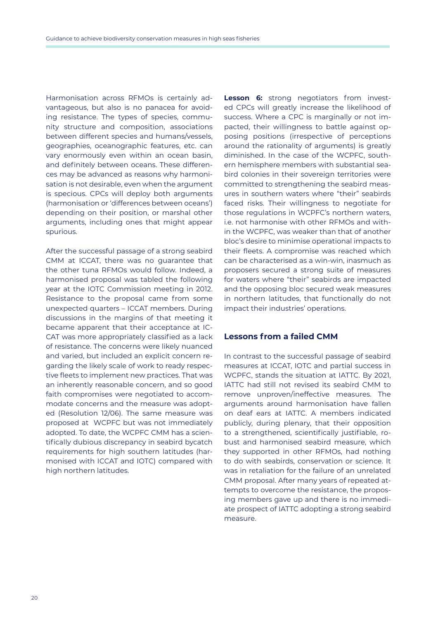Harmonisation across RFMOs is certainly advantageous, but also is no panacea for avoiding resistance. The types of species, community structure and composition, associations between different species and humans/vessels, geographies, oceanographic features, etc. can vary enormously even within an ocean basin, and definitely between oceans. These differences may be advanced as reasons why harmonisation is not desirable, even when the argument is specious. CPCs will deploy both arguments (harmonisation or 'differences between oceans') depending on their position, or marshal other arguments, including ones that might appear spurious.

After the successful passage of a strong seabird CMM at ICCAT, there was no guarantee that the other tuna RFMOs would follow. Indeed, a harmonised proposal was tabled the following year at the IOTC Commission meeting in 2012. Resistance to the proposal came from some unexpected quarters – ICCAT members. During discussions in the margins of that meeting it became apparent that their acceptance at IC-CAT was more appropriately classified as a lack of resistance. The concerns were likely nuanced and varied, but included an explicit concern regarding the likely scale of work to ready respective fleets to implement new practices. That was an inherently reasonable concern, and so good faith compromises were negotiated to accommodate concerns and the measure was adopted (Resolution 12/06). The same measure was proposed at WCPFC but was not immediately adopted. To date, the WCPFC CMM has a scientifically dubious discrepancy in seabird bycatch requirements for high southern latitudes (harmonised with ICCAT and IOTC) compared with high northern latitudes.

**Lesson 6:** strong negotiators from invested CPCs will greatly increase the likelihood of success. Where a CPC is marginally or not impacted, their willingness to battle against opposing positions (irrespective of perceptions around the rationality of arguments) is greatly diminished. In the case of the WCPFC, southern hemisphere members with substantial seabird colonies in their sovereign territories were committed to strengthening the seabird measures in southern waters where "their" seabirds faced risks. Their willingness to negotiate for those regulations in WCPFC's northern waters, i.e. not harmonise with other RFMOs and within the WCPFC, was weaker than that of another bloc's desire to minimise operational impacts to their fleets. A compromise was reached which can be characterised as a win-win, inasmuch as proposers secured a strong suite of measures for waters where "their" seabirds are impacted and the opposing bloc secured weak measures in northern latitudes, that functionally do not impact their industries' operations.

## **Lessons from a failed CMM**

In contrast to the successful passage of seabird measures at ICCAT, IOTC and partial success in WCPFC, stands the situation at IATTC. By 2021, IATTC had still not revised its seabird CMM to remove unproven/ineffective measures. The arguments around harmonisation have fallen on deaf ears at IATTC. A members indicated publicly, during plenary, that their opposition to a strengthened, scientifically justifiable, robust and harmonised seabird measure, which they supported in other RFMOs, had nothing to do with seabirds, conservation or science. It was in retaliation for the failure of an unrelated CMM proposal. After many years of repeated attempts to overcome the resistance, the proposing members gave up and there is no immediate prospect of IATTC adopting a strong seabird measure.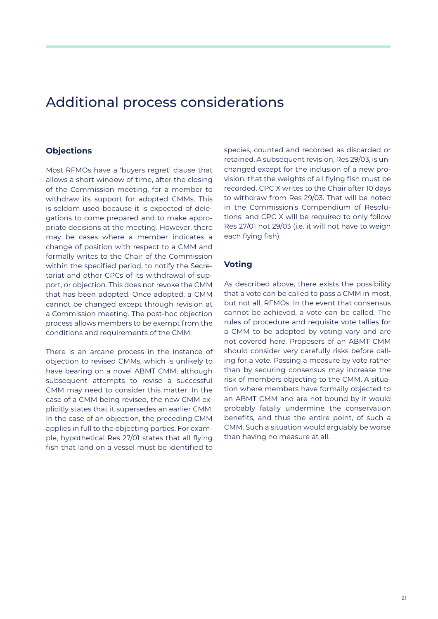# Additional process considerations

## **Objections**

Most RFMOs have a 'buyers regret' clause that allows a short window of time, after the closing of the Commission meeting, for a member to withdraw its support for adopted CMMs. This is seldom used because it is expected of delegations to come prepared and to make appropriate decisions at the meeting. However, there may be cases where a member indicates a change of position with respect to a CMM and formally writes to the Chair of the Commission within the specified period, to notify the Secretariat and other CPCs of its withdrawal of support, or objection. This does not revoke the CMM that has been adopted. Once adopted, a CMM cannot be changed except through revision at a Commission meeting. The post-hoc objection process allows members to be exempt from the conditions and requirements of the CMM.

There is an arcane process in the instance of objection to revised CMMs, which is unlikely to have bearing on a novel ABMT CMM, although subsequent attempts to revise a successful CMM may need to consider this matter. In the case of a CMM being revised, the new CMM explicitly states that it supersedes an earlier CMM. In the case of an objection, the preceding CMM applies in full to the objecting parties. For example, hypothetical Res 27/01 states that all flying fish that land on a vessel must be identified to

species, counted and recorded as discarded or retained. A subsequent revision, Res 29/03, is unchanged except for the inclusion of a new provision, that the weights of all flying fish must be recorded. CPC X writes to the Chair after 10 days to withdraw from Res 29/03. That will be noted in the Commission's Compendium of Resolutions, and CPC X will be required to only follow Res 27/01 not 29/03 (i.e. it will not have to weigh each flying fish).

## **Voting**

As described above, there exists the possibility that a vote can be called to pass a CMM in most, but not all, RFMOs. In the event that consensus cannot be achieved, a vote can be called. The rules of procedure and requisite vote tallies for a CMM to be adopted by voting vary and are not covered here. Proposers of an ABMT CMM should consider very carefully risks before calling for a vote. Passing a measure by vote rather than by securing consensus may increase the risk of members objecting to the CMM. A situation where members have formally objected to an ABMT CMM and are not bound by it would probably fatally undermine the conservation benefits, and thus the entire point, of such a CMM. Such a situation would arguably be worse than having no measure at all.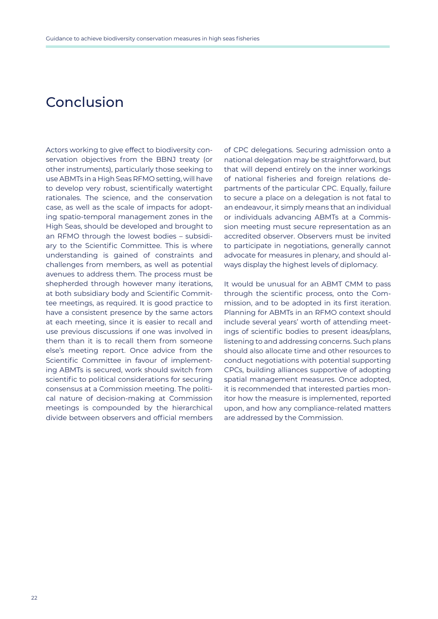# Conclusion

Actors working to give effect to biodiversity conservation objectives from the BBNJ treaty (or other instruments), particularly those seeking to use ABMTs in a High Seas RFMO setting, will have to develop very robust, scientifically watertight rationales. The science, and the conservation case, as well as the scale of impacts for adopting spatio-temporal management zones in the High Seas, should be developed and brought to an RFMO through the lowest bodies – subsidiary to the Scientific Committee. This is where understanding is gained of constraints and challenges from members, as well as potential avenues to address them. The process must be shepherded through however many iterations, at both subsidiary body and Scientific Committee meetings, as required. It is good practice to have a consistent presence by the same actors at each meeting, since it is easier to recall and use previous discussions if one was involved in them than it is to recall them from someone else's meeting report. Once advice from the Scientific Committee in favour of implementing ABMTs is secured, work should switch from scientific to political considerations for securing consensus at a Commission meeting. The political nature of decision-making at Commission meetings is compounded by the hierarchical divide between observers and official members

of CPC delegations. Securing admission onto a national delegation may be straightforward, but that will depend entirely on the inner workings of national fisheries and foreign relations departments of the particular CPC. Equally, failure to secure a place on a delegation is not fatal to an endeavour, it simply means that an individual or individuals advancing ABMTs at a Commission meeting must secure representation as an accredited observer. Observers must be invited to participate in negotiations, generally cannot advocate for measures in plenary, and should always display the highest levels of diplomacy.

It would be unusual for an ABMT CMM to pass through the scientific process, onto the Commission, and to be adopted in its first iteration. Planning for ABMTs in an RFMO context should include several years' worth of attending meetings of scientific bodies to present ideas/plans, listening to and addressing concerns. Such plans should also allocate time and other resources to conduct negotiations with potential supporting CPCs, building alliances supportive of adopting spatial management measures. Once adopted, it is recommended that interested parties monitor how the measure is implemented, reported upon, and how any compliance-related matters are addressed by the Commission.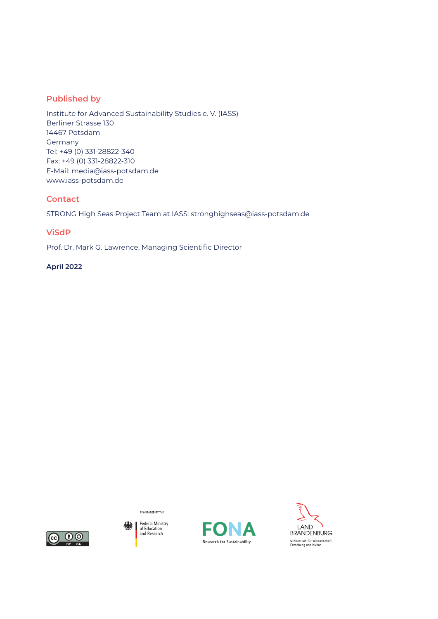## **Published by**

Institute for Advanced Sustainability Studies e. V. (IASS) Berliner Strasse 130 14467 Potsdam Germany Tel: +49 (0) 331-28822-340 Fax: +49 (0) 331-28822-310 E-Mail: media@iass-potsdam.de www.iass-potsdam.de

## **Contact**

STRONG High Seas Project Team at IASS: stronghighseas@iass-potsdam.de

## **ViSdP**

Prof. Dr. Mark G. Lawrence, Managing Scientific Director

### **April 2022**



Federal Ministry<br>of Education<br>and Research 纝

SPONSORED BY THE